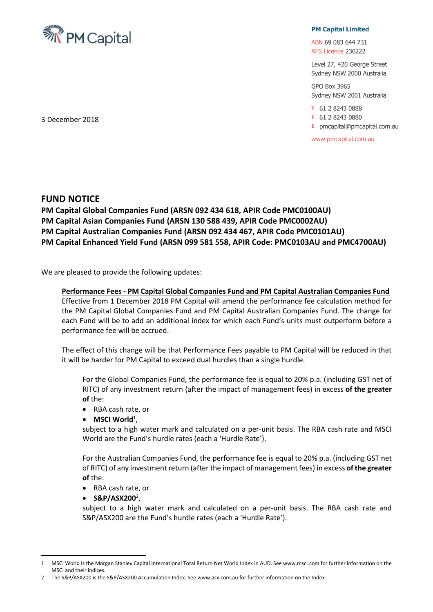

## **PM Capital Limited**

ABN 69 083 644 731 AFS Licence 230222

Level 27, 420 George Street Sydney NSW 2000 Australia

GPO Box 3965 Sydney NSW 2001 Australia

**T** 61 2 8243 0888

**F** 61 2 8243 0880

**E** pmcapital@pmcapital.com.au

www.pmcapital.com.au

3 December 2018

## **FUND NOTICE**

**PM Capital Global Companies Fund (ARSN 092 434 618, APIR Code PMC0100AU) PM Capital Asian Companies Fund (ARSN 130 588 439, APIR Code PMC0002AU) PM Capital Australian Companies Fund (ARSN 092 434 467, APIR Code PMC0101AU) PM Capital Enhanced Yield Fund (ARSN 099 581 558, APIR Code: PMC0103AU and PMC4700AU)**

We are pleased to provide the following updates:

## **Performance Fees - PM Capital Global Companies Fund and PM Capital Australian Companies Fund**

Effective from 1 December 2018 PM Capital will amend the performance fee calculation method for the PM Capital Global Companies Fund and PM Capital Australian Companies Fund. The change for each Fund will be to add an additional index for which each Fund's units must outperform before a performance fee will be accrued.

The effect of this change will be that Performance Fees payable to PM Capital will be reduced in that it will be harder for PM Capital to exceed dual hurdles than a single hurdle.

For the Global Companies Fund, the performance fee is equal to 20% p.a. (including GST net of RITC) of any investment return (after the impact of management fees) in excess **of the greater of** the:

- RBA cash rate, or
- **MSCI World**<sup>1</sup>,

subject to a high water mark and calculated on a per-unit basis. The RBA cash rate and MSCI World are the Fund's hurdle rates (each a 'Hurdle Rate').

For the Australian Companies Fund, the performance fee is equal to 20% p.a. (including GST net of RITC) of any investment return (after the impact of management fees) in excess **of the greater of** the:

- RBA cash rate, or
- **S&P/ASX200**<sup>2</sup> ,

 $\overline{a}$ 

subject to a high water mark and calculated on a per-unit basis. The RBA cash rate and S&P/ASX200 are the Fund's hurdle rates (each a 'Hurdle Rate').

<sup>1</sup> MSCI World is the Morgan Stanley Capital International Total Return Net World Index in AUD. See www.msci.com for further information on the MSCI and their indices.

<sup>2</sup> The S&P/ASX200 is the S&P/ASX200 Accumulation Index. See www.asx.com.au for further information on the Index.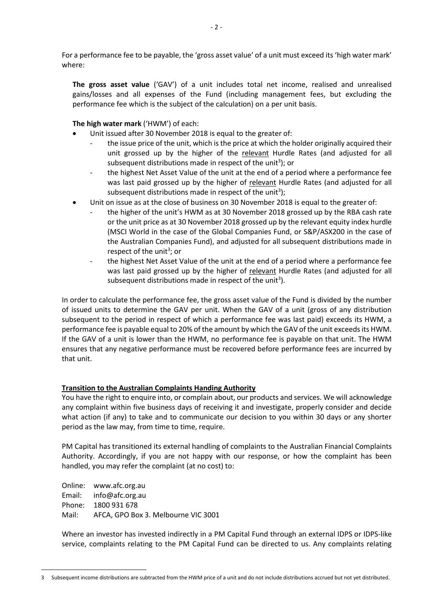For a performance fee to be payable, the 'gross asset value' of a unit must exceed its 'high water mark' where:

**The gross asset value** ('GAV') of a unit includes total net income, realised and unrealised gains/losses and all expenses of the Fund (including management fees, but excluding the performance fee which is the subject of the calculation) on a per unit basis.

**The high water mark** ('HWM') of each:

- Unit issued after 30 November 2018 is equal to the greater of:
	- the issue price of the unit, which is the price at which the holder originally acquired their unit grossed up by the higher of the relevant Hurdle Rates (and adjusted for all subsequent distributions made in respect of the unit<sup>3</sup>); or
	- the highest Net Asset Value of the unit at the end of a period where a performance fee was last paid grossed up by the higher of relevant Hurdle Rates (and adjusted for all subsequent distributions made in respect of the unit<sup>3</sup>);
- Unit on issue as at the close of business on 30 November 2018 is equal to the greater of:
	- the higher of the unit's HWM as at 30 November 2018 grossed up by the RBA cash rate or the unit price as at 30 November 2018 grossed up by the relevant equity index hurdle (MSCI World in the case of the Global Companies Fund, or S&P/ASX200 in the case of the Australian Companies Fund), and adjusted for all subsequent distributions made in respect of the unit<sup>3</sup>; or
	- the highest Net Asset Value of the unit at the end of a period where a performance fee was last paid grossed up by the higher of relevant Hurdle Rates (and adjusted for all subsequent distributions made in respect of the unit<sup>3</sup>).

In order to calculate the performance fee, the gross asset value of the Fund is divided by the number of issued units to determine the GAV per unit. When the GAV of a unit (gross of any distribution subsequent to the period in respect of which a performance fee was last paid) exceeds its HWM, a performance fee is payable equal to 20% of the amount by which the GAV of the unit exceeds its HWM. If the GAV of a unit is lower than the HWM, no performance fee is payable on that unit. The HWM ensures that any negative performance must be recovered before performance fees are incurred by that unit.

## **Transition to the Australian Complaints Handing Authority**

You have the right to enquire into, or complain about, our products and services. We will acknowledge any complaint within five business days of receiving it and investigate, properly consider and decide what action (if any) to take and to communicate our decision to you within 30 days or any shorter period as the law may, from time to time, require.

PM Capital has transitioned its external handling of complaints to the Australian Financial Complaints Authority. Accordingly, if you are not happy with our response, or how the complaint has been handled, you may refer the complaint (at no cost) to:

Online: www.afc.org.au Email: info@afc.org.au Phone: 1800 931 678 Mail: AFCA, GPO Box 3. Melbourne VIC 3001

Where an investor has invested indirectly in a PM Capital Fund through an external IDPS or IDPS-like service, complaints relating to the PM Capital Fund can be directed to us. Any complaints relating

 $\overline{a}$ 3 Subsequent income distributions are subtracted from the HWM price of a unit and do not include distributions accrued but not yet distributed.